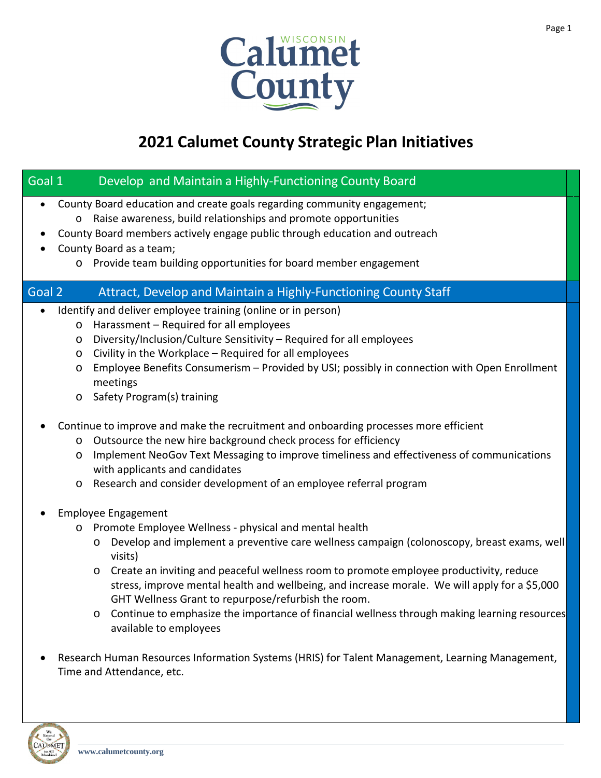

# **2021 Calumet County Strategic Plan Initiatives**

| Develop and Maintain a Highly-Functioning County Board<br>Goal 1                                                                                                                                                                                                                                                                                                                                                                                                                                                                                                                                                      |
|-----------------------------------------------------------------------------------------------------------------------------------------------------------------------------------------------------------------------------------------------------------------------------------------------------------------------------------------------------------------------------------------------------------------------------------------------------------------------------------------------------------------------------------------------------------------------------------------------------------------------|
| County Board education and create goals regarding community engagement;<br>$\bullet$<br>Raise awareness, build relationships and promote opportunities<br>$\circ$<br>County Board members actively engage public through education and outreach<br>٠<br>County Board as a team;<br>$\bullet$<br>Provide team building opportunities for board member engagement<br>$\circ$                                                                                                                                                                                                                                            |
| Goal 2<br>Attract, Develop and Maintain a Highly-Functioning County Staff                                                                                                                                                                                                                                                                                                                                                                                                                                                                                                                                             |
| Identify and deliver employee training (online or in person)<br>$\bullet$<br>Harassment - Required for all employees<br>$\circ$<br>Diversity/Inclusion/Culture Sensitivity - Required for all employees<br>O<br>Civility in the Workplace - Required for all employees<br>O<br>Employee Benefits Consumerism - Provided by USI; possibly in connection with Open Enrollment<br>O<br>meetings<br>Safety Program(s) training<br>$\circ$<br>Continue to improve and make the recruitment and onboarding processes more efficient<br>Outsource the new hire background check process for efficiency<br>$\circ$            |
| Implement NeoGov Text Messaging to improve timeliness and effectiveness of communications<br>$\circ$<br>with applicants and candidates<br>Research and consider development of an employee referral program<br>$\circ$                                                                                                                                                                                                                                                                                                                                                                                                |
| <b>Employee Engagement</b><br>Promote Employee Wellness - physical and mental health<br>$\circ$<br>Develop and implement a preventive care wellness campaign (colonoscopy, breast exams, well<br>$\circ$<br>visits)<br>Create an inviting and peaceful wellness room to promote employee productivity, reduce<br>$\circ$<br>stress, improve mental health and wellbeing, and increase morale. We will apply for a \$5,000<br>GHT Wellness Grant to repurpose/refurbish the room.<br>Continue to emphasize the importance of financial wellness through making learning resources<br>$\circ$<br>available to employees |
| Research Human Resources Information Systems (HRIS) for Talent Management, Learning Management,<br>Time and Attendance, etc.                                                                                                                                                                                                                                                                                                                                                                                                                                                                                          |

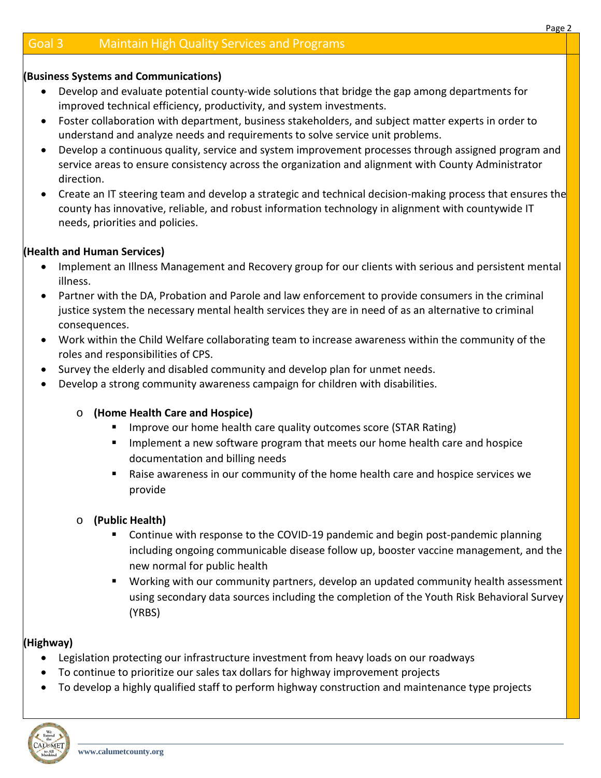#### **(Business Systems and Communications)**

- Develop and evaluate potential county-wide solutions that bridge the gap among departments for improved technical efficiency, productivity, and system investments.
- Foster collaboration with department, business stakeholders, and subject matter experts in order to understand and analyze needs and requirements to solve service unit problems.
- Develop a continuous quality, service and system improvement processes through assigned program and service areas to ensure consistency across the organization and alignment with County Administrator direction.
- Create an IT steering team and develop a strategic and technical decision-making process that ensures the county has innovative, reliable, and robust information technology in alignment with countywide IT needs, priorities and policies.

#### **(Health and Human Services)**

- Implement an Illness Management and Recovery group for our clients with serious and persistent mental illness.
- Partner with the DA, Probation and Parole and law enforcement to provide consumers in the criminal justice system the necessary mental health services they are in need of as an alternative to criminal consequences.
- Work within the Child Welfare collaborating team to increase awareness within the community of the roles and responsibilities of CPS.
- Survey the elderly and disabled community and develop plan for unmet needs.
- Develop a strong community awareness campaign for children with disabilities.

# o **(Home Health Care and Hospice)**

- **IDED FIGHTS IMPROVE OUT home health care quality outcomes score (STAR Rating)**
- **IMPLEMENTE IMPLEMENT IMPLEM** Implement a new software program that meets our home health care and hospice documentation and billing needs
- Raise awareness in our community of the home health care and hospice services we provide
- o **(Public Health)**
	- **EXTERGHT Continue with response to the COVID-19 pandemic and begin post-pandemic planning** including ongoing communicable disease follow up, booster vaccine management, and the new normal for public health
	- Working with our community partners, develop an updated community health assessment using secondary data sources including the completion of the Youth Risk Behavioral Survey (YRBS)

# **(Highway)**

- Legislation protecting our infrastructure investment from heavy loads on our roadways
- To continue to prioritize our sales tax dollars for highway improvement projects
- To develop a highly qualified staff to perform highway construction and maintenance type projects

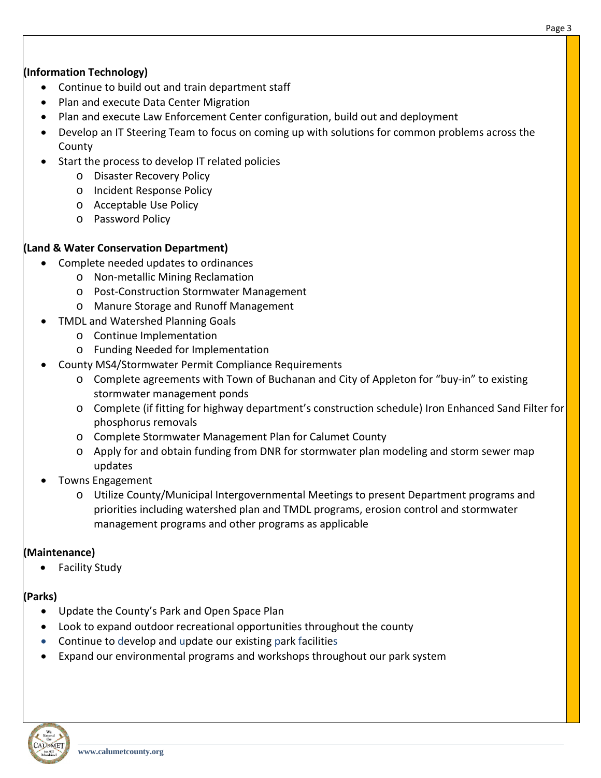# **(Information Technology)**

- Continue to build out and train department staff
- Plan and execute Data Center Migration
- Plan and execute Law Enforcement Center configuration, build out and deployment
- Develop an IT Steering Team to focus on coming up with solutions for common problems across the County
- Start the process to develop IT related policies
	- o Disaster Recovery Policy
	- o Incident Response Policy
	- o Acceptable Use Policy
	- o Password Policy

# **(Land & Water Conservation Department)**

- Complete needed updates to ordinances
	- o Non-metallic Mining Reclamation
	- o Post-Construction Stormwater Management
	- o Manure Storage and Runoff Management
	- TMDL and Watershed Planning Goals
		- o Continue Implementation
		- o Funding Needed for Implementation
- County MS4/Stormwater Permit Compliance Requirements
	- o Complete agreements with Town of Buchanan and City of Appleton for "buy-in" to existing stormwater management ponds
	- o Complete (if fitting for highway department's construction schedule) Iron Enhanced Sand Filter for phosphorus removals
	- o Complete Stormwater Management Plan for Calumet County
	- o Apply for and obtain funding from DNR for stormwater plan modeling and storm sewer map updates
- Towns Engagement
	- o Utilize County/Municipal Intergovernmental Meetings to present Department programs and priorities including watershed plan and TMDL programs, erosion control and stormwater management programs and other programs as applicable

# **(Maintenance)**

• Facility Study

# **(Parks)**

- Update the County's Park and Open Space Plan
- Look to expand outdoor recreational opportunities throughout the county
- Continue to develop and update our existing park facilities
- Expand our environmental programs and workshops throughout our park system

Page 3